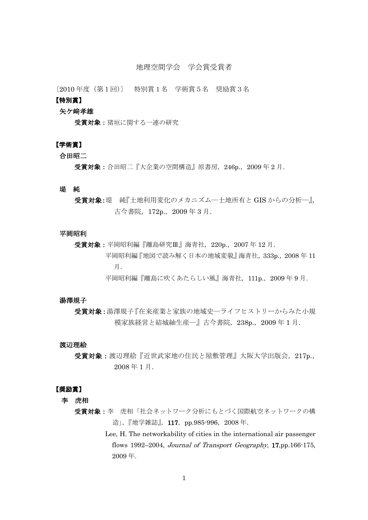# 地理空間学会 学会賞受賞者

〔2010 年度(第1回)〕 特別賞1名 学術賞5名 奨励賞3名

## 【特別賞】

## 矢ケ﨑孝雄

受賞対象:猪垣に関する一連の研究

# 【学術賞】

## 合田昭二

受賞対象:合田昭二『大企業の空間構造』原書房, 246p., 2009年2月.

#### 堤 純

受賞対象:堤 純『土地利用変化のメカニズム―土地所有と GIS からの分析―』, 古今書院,172p.,2009 年 3 月.

#### 平岡昭利

受賞対象:平岡昭利編『離島研究Ⅲ』海青社,220p.,2007 年 12 月. 平岡昭利編『地図で読み解く日本の地域変貌』海青社,333p.,2008 年 11 月. 平岡昭利編『離島に吹くあたらしい風』海青社,111p.,2009 年 9 月.

## 湯澤規子

受賞対象:湯澤規子『在来産業と家族の地域史―ライフヒストリーからみた小規 模家族経営と結城紬生産―』古今書院,238p.,2009 年 1 月.

#### 渡辺理絵

受賞対象: 渡辺理絵『近世武家地の住民と屋敷管理』大阪大学出版会, 217p., 2008 年 1 月.

#### 【奨励賞】

李 虎相

- 受賞対象:李 虎相「社会ネットワーク分析にもとづく国際航空ネットワークの構 造」, 『地学雑誌』, 117, pp.985-996, 2008年.
	- Lee, H. The networkability of cities in the international air passenger flows 1992–2004, *Journal of Transport Geography*, 17,pp.166-175, 2009 年.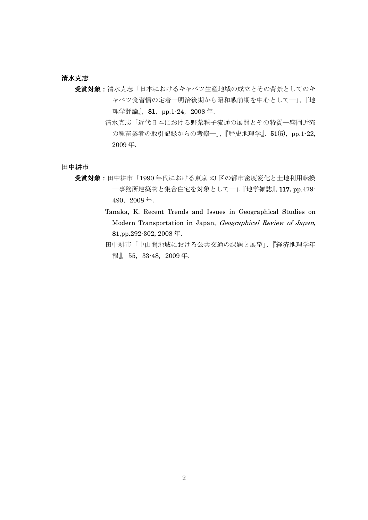## 清水克志

- 受賞対象:清水克志「日本におけるキャベツ生産地域の成立とその背景としてのキ ャベツ食習慣の定着―明治後期から昭和戦前期を中心として―」,『地 理学評論』, 81, pp.1-24, 2008年.
	- 清水克志「近代日本における野菜種子流通の展開とその特質―盛岡近郊 の種苗業者の取引記録からの考察一」,『歴史地理学』, 51(5), pp.1-22, 2009 年.

## 田中耕市

受賞対象:田中耕市「1990 年代における東京 23 区の都市密度変化と土地利用転換 ―事務所建築物と集合住宅を対象として―」,『地学雑誌』,117,pp.479- 490,2008 年.

> Tanaka, K. Recent Trends and Issues in Geographical Studies on Modern Transportation in Japan, Geographical Review of Japan, 81,pp.292-302, 2008 年.

> 田中耕市「中山間地域における公共交通の課題と展望」,『経済地理学年 報』,55,33-48,2009 年.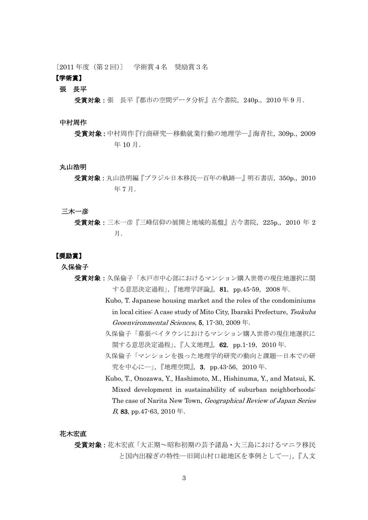〔2011 年度(第2回)〕 学術賞4名 奨励賞3名

# 【学術賞】

### 張 長平

受賞対象:張 長平『都市の空間データ分析』古今書院, 240p., 2010年9月.

### 中村周作

## 丸山浩明

#### 三木一彦

#### 【奨励賞】

久保倫子

- 受賞対象:久保倫子「水戸市中心部におけるマンション購入世帯の現住地選択に関 する意思決定過程」,『地理学評論』, 81, pp.45-59, 2008年.
	- Kubo, T. Japanese housing market and the roles of the condominiums in local cities: A case study of Mito City, Ibaraki Prefecture, Tsukuba Geoenvironmental Sciences, 5, 17-30, 2009 年.
	- 久保倫子「幕張ベイタウンにおけるマンション購入世帯の現住地選択に |関する意思決定過程」,『人文地理』, 62, pp.1-19, 2010 年.
	- 久保倫子「マンションを扱った地理学的研究の動向と課題―日本での研 究を中心に─」,『地理空間』, 3, pp.43-56, 2010年.
	- Kubo, T., Onozawa, Y., Hashimoto, M., Hishinuma, Y., and Matsui, K. Mixed development in sustainability of suburban neighborhoods: The case of Narita New Town, Geographical Review of Japan Series B, 83, pp. 47 $-63$ , 2010  $\pm$ .

#### 花木宏直

受賞対象:花木宏直「大正期~昭和初期の芸予諸島・大三島におけるマニラ移民 と国内出稼ぎの特性―旧岡山村口総地区を事例として―」,『人文

受賞対象:中村周作『行商研究―移動就業行動の地理学―』海青社,309p.,2009 年 10 月.

受賞対象:丸山浩明編『ブラジル日本移民―百年の軌跡―』明石書店,350p.,2010 年 7 月.

受賞対象:三木一彦『三峰信仰の展開と地域的基盤』古今書院, 225p., 2010 年 2 月.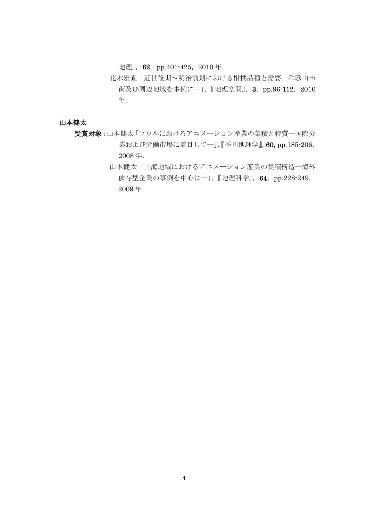地理』, 62, pp.401-425, 2010年.

花木宏直「近世後期~明治前期における柑橘品種と需要―和歌山市 街及び周辺地域を事例に一」,『地理空間』, 3, pp.96-112, 2010 年.

# 山本健太

- 受賞対象:山本健太「ソウルにおけるアニメーション産業の集積と特質―国際分 業および労働市場に着目してー」,『季刊地理学』, 60, pp.185-206, 2008 年.
	- 山本健太「上海地域におけるアニメーション産業の集積構造―海外 依存型企業の事例を中心に―」,『地理科学』,64,pp.228-249, 2009 年.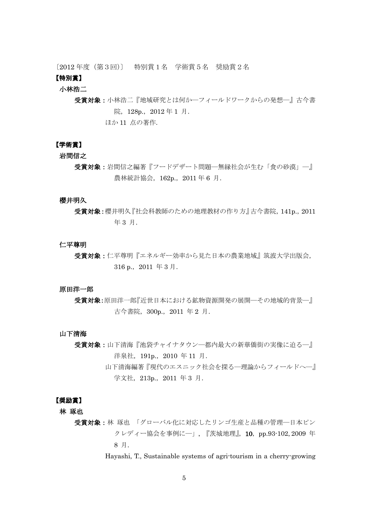〔2012 年度(第3回)〕 特別賞1名 学術賞5名 奨励賞2名

# 【特別賞】

## 小林浩二

受賞対象:小林浩二『地域研究とは何か―フィールドワークからの発想―』古今書 院,128p.,2012 年 1 月.

ほか 11 点の著作.

## 【学術賞】

## 岩間信之

受賞対象:岩間信之編著『フードデザート問題―無縁社会が生む「食の砂漠」―』 農林統計協会, 162p., 2011 年 6 月.

## 櫻井明久

受賞対象:櫻井明久『社会科教師のための地理教材の作り方』古今書院,141p.,2011 年 3 月.

#### 仁平尊明

受賞対象:仁平尊明『エネルギー効率から見た日本の農業地域』筑波大学出版会, 316 p.,2011 年 3 月.

#### 原田洋一郎

受賞対象:原田洋一郎『近世日本における鉱物資源開発の展開–その地域的背景–– 古今書院,300p.,2011 年 2 月.

#### 山下清海

受賞対象:山下清海『池袋チャイナタウン―都内最大の新華僑街の実像に迫る―』 洋泉社, 191p., 2010 年 11 月.

> 山下清海編著『現代のエスニック社会を探る―理論からフィールドへ―』 学文社, 213p., 2011 年 3 月.

#### 【奨励賞】

林 琢也

受賞対象:林 琢也「グローバル化に対応したリンゴ生産と品種の管理––日本ピン クレディー協会を事例に––」,『茨城地理』, 10, pp.93-102, 2009 年 8 月.

Hayashi, T., Sustainable systems of agri-tourism in a cherry-growing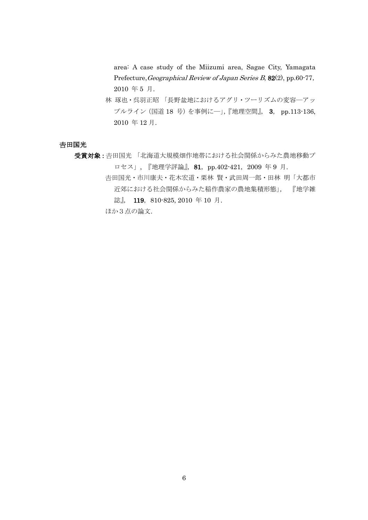area: A case study of the Miizumi area, Sagae City, Yamagata Prefecture, Geographical Review of Japan Series B, 82(2), pp.60-77, 2010 年 5 月.

林 琢也・呉羽正昭 「長野盆地におけるアグリ・ツーリズムの変容―アッ プルライン(国道 18 号)を事例に―」,『地理空間』, 3, pp.113-136, 2010 年 12 月.

## 吉田国光

受賞対象:吉田国光「北海道大規模畑作地帯における社会関係からみた農地移動プ ロセス」, 『地理学評論』, 81, pp.402-421, 2009 年 9 月.

田国光・市川康夫・花木宏道・栗林 賢・武田周一郎・田林 明「大都市 近郊における社会関係からみた稲作農家の農地集積形態」, 『地学雑 誌』, 119, 810-825, 2010 年 10 月. ほか3点の論文.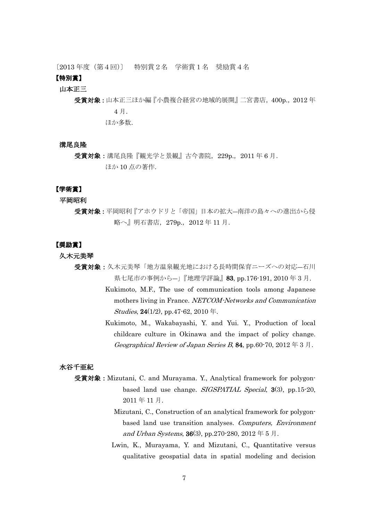〔2013 年度(第4回)〕 特別賞2名 学術賞1名 奨励賞4名

# 【特別賞】

#### 山本正三

受賞対象:山本正三ほか編『小農複合経営の地域的展開』二宮書店,400p.,2012 年 4 月. ほか多数.

#### 溝尾良隆

受賞対象:溝尾良隆『観光学と景観』古今書院, 229p., 2011 年 6 月. ほか 10 点の著作.

## 【学術賞】

平岡昭利

受賞対象:平岡昭利『アホウドリと「帝国」日本の拡大―南洋の島々への進出から侵 略へ』明石書店,279p.,2012 年 11 月.

## 【奨励賞】

#### 久木元美琴

- 受賞対象:久木元美琴「地方温泉観光地における長時間保育ニーズへの対応–石川 県七尾市の事例から―」『地理学評論』83, pp.176-191, 2010 年 3 月.
	- Kukimoto, M.F., The use of communication tools among Japanese mothers living in France. NETCOM-Networks and Communication Studies,  $24(1/2)$ , pp.47-62, 2010 年.
	- Kukimoto, M., Wakabayashi, Y. and Yui. Y., Production of local childcare culture in Okinawa and the impact of policy change. Geographical Review of Japan Series B, 84, pp.60-70, 2012  $\# 3 \nexists$ .

#### 水谷千亜紀

- 受賞対象:Mizutani, C. and Murayama. Y., Analytical framework for polygonbased land use change. *SIGSPATIAL Special*, 3(3), pp.15-20, 2011 年 11 月.
	- Mizutani, C., Construction of an analytical framework for polygonbased land use transition analyses. Computers, Environment and Urban Systems,  $36(3)$ , pp.270-280, 2012  $\pm 5$   $\overline{\smash{\beta}}$ .
	- Lwin, K., Murayama, Y. and Mizutani, C., Quantitative versus qualitative geospatial data in spatial modeling and decision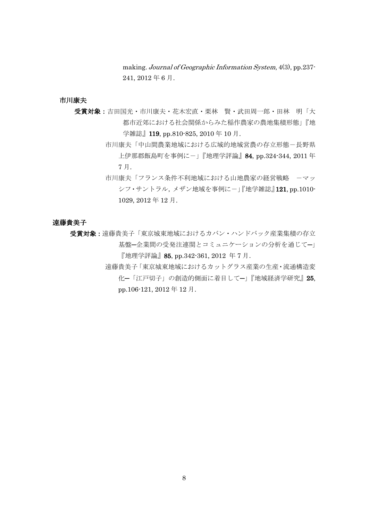making. Journal of Geographic Information System, 4(3), pp.237- 241, 2012 年 6 月.

## 市川康夫

- 受賞対象:吉田国光·市川康夫·花木宏直·栗林 賢·武田周一郎·田林 明「大 都市近郊における社会関係からみた稲作農家の農地集積形態」『地 学雑誌』119, pp.810-825, 2010 年 10 月.
	- 市川康夫「中山間農業地域における広域的地域営農の存立形態-長野県 上伊那郡飯島町を事例にー」『地理学評論』84, pp.324-344, 2011 年 7 月.
	- 市川康夫「フランス条件不利地域における山地農家の経営戦略 ーマッ シフ・サントラル,メザン地域を事例にー」『地学雑誌』121, pp.1010-1029, 2012 年 12 月.

## 遠藤貴美子

受賞対象:遠藤貴美子「東京城東地域におけるカバン・ハンドバック産業集積の存立 基盤─企業間の受発注連関とコミュニケーションの分析を通じて─」 『地理学評論』85, pp.342-361, 2012 年 7 月.

> 遠藤貴美子「東京城東地域におけるカットグラス産業の生産・流通構造変 化─「江戸切子」の創造的側面に着目して─」『地域経済学研究』25, pp.106-121, 2012 年 12 月.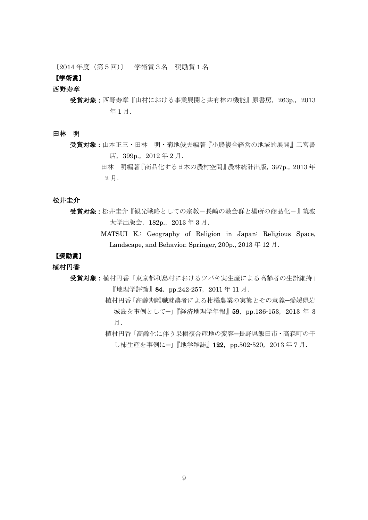〔2014 年度(第5回)〕 学術賞3名 奨励賞1名

## 【学術賞】

#### 西野寿章

- 受賞対象:西野寿章『山村における事業展開と共有林の機能』原書房,263p.,2013 年 1 月.
- 田林 明
	- 受賞対象:山本正三・田林 明・菊地俊夫編著『小農複合経営の地域的展開』二宮書 店,399p.,2012 年 2 月.
		- 田林 明編著『商品化する日本の農村空間』農林統計出版,397p.,2013 年 2 月.

## 松井圭介

- 受賞対象:松井圭介『観光戦略としての宗教ー長崎の教会群と場所の商品化ー』筑波 大学出版会,182p.,2013 年 3 月.
	- MATSUI K.: Geography of Religion in Japan: Religious Space, Landscape, and Behavior. Springer, 200p., 2013 年 12 月.

# 【奨励賞】

# 植村円香

- 受賞対象:植村円香「東京都利島村におけるツバキ実生産による高齢者の生計維持」 『地理学評論』84, pp.242-257, 2011 年 11 月.
	- 植村円香「高齢期離職就農者による柑橘農業の実態とその意義─愛媛県岩 城島を事例として−」『経済地理学年報』59, pp.136-153, 2013 年 3 月.
	- 植村円香「高齢化に伴う果樹複合産地の変容─長野県飯田市・高森町の干 し柿生産を事例にー」『地学雑誌』122, pp.502-520, 2013年7月.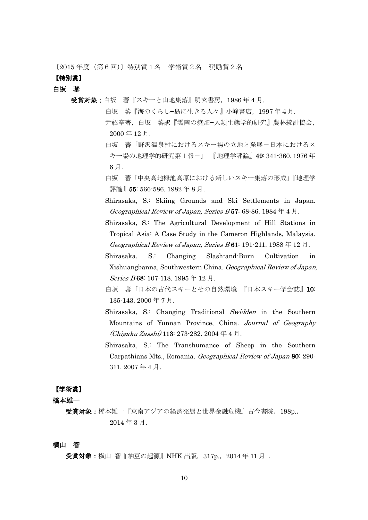〔2015 年度(第6回)〕特別賞1名 学術賞2名 奨励賞2名

## 【特別賞】

白坂 蕃

- 受賞対象:白坂 蕃『スキーと山地集落』明玄書房,1986 年 4 月.
	- 白坂 蕃『海のくらし−島に生きる人々』小峰書店,1997 年4月. 尹紹亭著,白坂 蕃訳『雲南の焼畑−人類生態学的研究』農林統計協会, 2000 年 12 月.
	- 白坂 蕃「野沢温泉村におけるスキー場の立地と発展ー日本におけるス キー場の地理学的研究第1報-」 『地理学評論』49: 341-360. 1976 年 6 月.
	- 白坂 蕃「中央高地栂池高原における新しいスキー集落の形成」『地理学 評論』 55: 566-586. 1982 年 8 月.
	- Shirasaka, S.: Skiing Grounds and Ski Settlements in Japan. Geographical Review of Japan, Series B57: 68-86. 1984  $\neq$  4  $\rfloor$ .
	- Shirasaka, S.: The Agricultural Development of Hill Stations in Tropical Asia: A Case Study in the Cameron Highlands, Malaysia. Geographical Review of Japan, Series  $B$  61: 191-211. 1988  $\#$  12  $\#$ .
	- Shirasaka, S.: Changing Slash-and-Burn Cultivation in Xishuangbanna, Southwestern China. Geographical Review of Japan, Series B 68: 107-118. 1995 年 12 月.
	- 白坂 蕃「日本の古代スキーとその自然環境」『日本スキー学会誌』10: 135-143. 2000 年 7 月.
	- Shirasaka, S.: Changing Traditional Swidden in the Southern Mountains of Yunnan Province, China. Journal of Geography  $(Chigaku Zasshi)$  113: 273-282. 2004 年 4 月.
	- Shirasaka, S.: The Transhumance of Sheep in the Southern Carpathians Mts., Romania. Geographical Review of Japan 80: 290- 311. 2007 年 4 月.

## 【学術賞】

## 橋本雄一

受賞対象:橋本雄一『東南アジアの経済発展と世界金融危機』古今書院,198p.,  $2014$  年 3 月.

## 横山 智

受賞対象:横山 智『納豆の起源』NHK 出版, 317p., 2014 年 11 月 .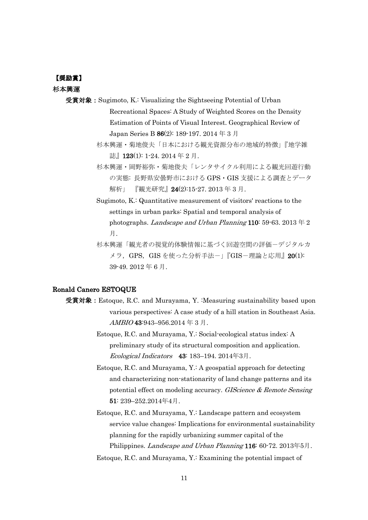## 【奨励賞】

#### 杉本興運

- 受賞対象:Sugimoto, K.: Visualizing the Sightseeing Potential of Urban Recreational Spaces: A Study of Weighted Scores on the Density Estimation of Points of Visual Interest. Geographical Review of Japan Series B 86(2): 189-197. 2014 年 3 月
	- 杉本興運・菊地俊夫「日本における観光資源分布の地域的特徴」『地学雑 誌』123(1): 1-24. 2014 年 2 月.
	- 杉本興運・岡野裕弥・菊地俊夫「レンタサイクル利用による観光回遊行動 の実態: 長野県安曇野市における GPS・GIS 支援による調査とデータ 解析」 『観光研究』 24(2):15-27. 2013 年 3 月.
	- Sugimoto, K.: Quantitative measurement of visitors' reactions to the settings in urban parks: Spatial and temporal analysis of photographs. Landscape and Urban Planning 110: 59-63. 2013  $\neq$  2 月.
	- 杉本興運「観光者の視覚的体験情報に基づく回遊空間の評価ーデジタルカ メラ, GPS, GIS を使った分析手法-」『GIS-理論と応用』20(1): 39-49. 2012 年 6 月.

## Ronald Canero ESTOQUE

- 受賞対象: Estoque, R.C. and Murayama, Y. :Measuring sustainability based upon various perspectives: A case study of a hill station in Southeast Asia. AMBIO 43:943–956.2014 年 3 月.
	- Estoque, R.C. and Murayama, Y.: Social-ecological status index: A preliminary study of its structural composition and application. Ecological Indicators 43: 183–194. 2014年3月.
	- Estoque, R.C. and Murayama, Y.: A geospatial approach for detecting and characterizing non-stationarity of land change patterns and its potential effect on modeling accuracy. GIScience & Remote Sensing 51: 239–252.2014年4月.
	- Estoque, R.C. and Murayama, Y.: Landscape pattern and ecosystem service value changes: Implications for environmental sustainability planning for the rapidly urbanizing summer capital of the Philippines. *Landscape and Urban Planning* 116: 60-72. 2013年5月.
	- Estoque, R.C. and Murayama, Y.: Examining the potential impact of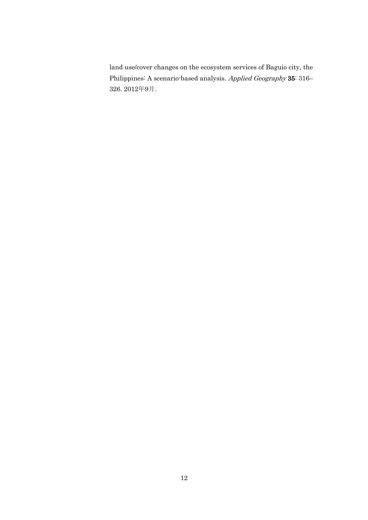land use/cover changes on the ecosystem services of Baguio city, the Philippines: A scenario-based analysis. Applied Geography 35: 316– 326. 2012年9月.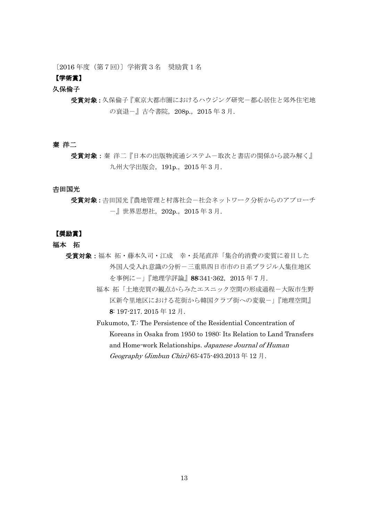〔2016 年度(第7回)〕学術賞3名 奨励賞1名

# 【学術賞】

## 久保倫子

受賞対象:久保倫子『東京大都市圏におけるハウジング研究-都心居住と郊外住宅地 の衰退-』古今書院, 208p., 2015年3月.

## 秦 洋二

受賞対象: 秦 洋二『日本の出版物流通システムー取次と書店の関係から読み解く』 九州大学出版会, 191p., 2015 年 3 月.

#### 吉田国光

受賞対象:吉田国光『農地管理と村落社会ー社会ネットワーク分析からのアプローチ -』世界思想社,202p.,2015 年 3 月.

## 【奨励賞】

- 福本 拓
	- 受賞対象:福本拓・藤本久司・江成 幸・長尾直洋「集合的消費の変質に着目した 外国人受入れ意識の分析-三重県四日市市の日系ブラジル人集住地区 を事例にー」『地理学評論』88:341-362, 2015年7月.
		- 福本 拓「土地売買の観点からみたエスニック空間の形成過程-大阪市生野 区新今里地区における花街から韓国クラブ街への変貌ー」『地理空間』 8: 197-217. 2015 年 12 月.

Fukumoto, T.: The Persistence of the Residential Concentration of Koreans in Osaka from 1950 to 1980: Its Relation to Land Transfers and Home-work Relationships. Japanese Journal of Human Geography (Jimbun Chiri) 65:475-493.2013 年 12 月.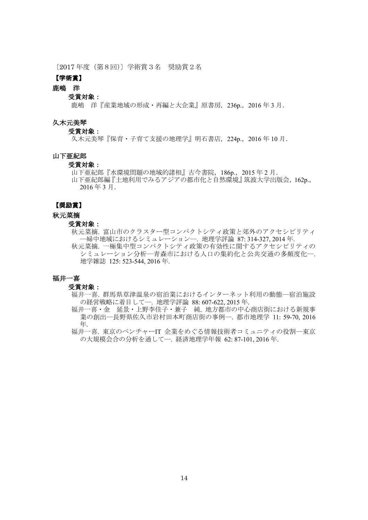〔2017 年度(第8回)〕学術賞3名 奨励賞2名

## 【学術賞】

# 鹿嶋 洋

#### 受賞対象:

鹿嶋 洋『産業地域の形成・再編と大企業』原書房,236p.,2016 年 3 月.

## 久木元美琴

#### 受賞対象:

久木元美琴『保育・子育て支援の地理学』明石書店, 224p., 2016 年 10 月.

# 山下亜紀郎

#### 受賞対象:

山下亜紀郎『水環境問題の地域的諸相』古今書院, 186p., 2015 年 2 月.

山下亜紀郎編『土地利用でみるアジアの都市化と自然環境』筑波大学出版会,162p., 2016 年 3 月.

## 【奨励賞】

#### 秋元菜摘

#### 受賞対象:

秋元菜摘. 富山市のクラスター型コンパクトシティ政策と郊外のアクセシビリティ ―婦中地域におけるシミュレーション―. 地理学評論 87: 314-327, 2014 年.

秋元菜摘. 一極集中型コンパクトシティ政策の有効性に関するアクセシビリティの シミュレーション分析―青森市における人口の集約化と公共交通の多頻度化―. 地学雑誌 125: 523-544, 2016 年.

#### 福井一喜

#### 受賞対象:

- 福井一喜. 群馬県草津温泉の宿泊業におけるインターネット利用の動態―宿泊施設 の経営戦略に着目して―. 地理学評論 88: 607-622, 2015 年.
- 福井一喜・金 延景・上野李佳子・兼子 純. 地方都市の中心商店街における新規事 業の創出―長野県佐久市岩村田本町商店街の事例―. 都市地理学 11: 59-70, 2016 年.
- 福井一喜. 東京のベンチャーIT 企業をめぐる情報技術者コミュニティの役割―東京 の大規模会合の分析を通して―. 経済地理学年報 62: 87-101, 2016 年.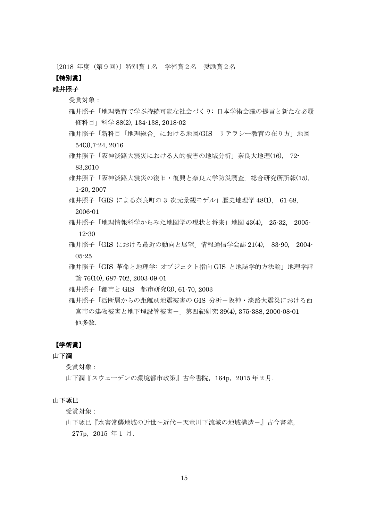〔2018 年度(第9回)〕特別賞1名 学術賞2名 奨励賞2名

# 【特別賞】

# 碓井照子

受賞対象:

- 碓井照子「地理教育で学ぶ持続可能な社会づくり: 日本学術会議の提言と新たな必履 修科目」科学 88(2), 134-138, 2018-02
- 碓井照子「新科目「地理総合」における地図/GIS リテラシー教育の在り方」地図 54(3),7-24, 2016
- 碓井照子「阪神淡路大震災における人的被害の地域分析」奈良大地理(16), 72- 83,2010
- 碓井照子「阪神淡路大震災の復旧・復興と奈良大学防災調査」総合研究所所報(15), 1-20, 2007
- 碓井照子「GIS による奈良町の 3 次元景観モデル」歴史地理学 48(1), 61-68,

2006-01

- 碓井照子「地理情報科学からみた地図学の現状と将来」地図 43(4), 25-32, 2005- 12-30
- 碓井照子「GIS における最近の動向と展望」情報通信学会誌 21(4), 83-90, 2004- 05-25
- 碓井照子「GIS 革命と地理学: オブジェクト指向 GIS と地誌学的方法論」地理学評 論 76(10), 687-702, 2003-09-01
- 碓井照子「都市と GIS」都市研究(3), 61-70, 2003
- 碓井照子「活断層からの距離別地震被害の GIS 分析-阪神・淡路大震災における西 宮市の建物被害と地下埋設管被害-」第四紀研究 39(4), 375-388, 2000-08-01 他多数.

## 【学術賞】

# 山下潤

受賞対象:

山下潤『スウェーデンの環境都市政策』古今書院, 164p, 2015年2月.

## 山下琢巳

受賞対象:

山下琢巳『水害常襲地域の近世~近代ー天竜川下流域の地域構造-』古今書院, 277p,2015 年 1 月.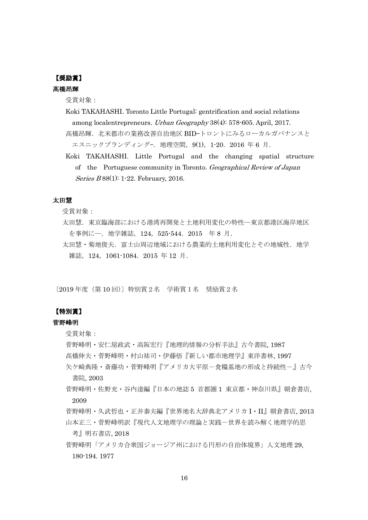# 【奨励賞】

# 髙橋昂輝

受賞対象:

Koki TAKAHASHI. Toronto Little Portugal: gentrification and social relations among localentrepreneurs. Urban Geography 38(4): 578-605. April, 2017. 高橋昂輝. 北米都市の業務改善自治地区 BID-トロントにみるローカルガバナンスと

```
エスニックブランディングー. 地理空間, 9(1), 1-20. 2016 年 6 月.
```
Koki TAKAHASHI. Little Portugal and the changing spatial structure of the Portuguese community in Toronto. Geographical Review of Japan Series B 88(1): 1-22. February, 2016.

# 太田慧

受賞対象:

- 太田慧. 東京臨海部における港湾再開発と土地利用変化の特性––東京都港区海岸地区 を事例に―.地学雑誌,124,525-544.2015 年 8 月.
- 太田慧・菊地俊夫. 富士山周辺地域における農業的土地利用変化とその地域性. 地学 雑誌,124,1061-1084.2015 年 12 月.

〔2019 年度(第 10 回)〕特別賞2名 学術賞1名 奨励賞2名

# 【特別賞】

# 菅野峰明

受賞対象:

- 菅野峰明・安仁屋政武・高阪宏行『地理的情報の分析手法』古今書院, 1987
- 高橋伸夫・菅野峰明・村山祐司・伊藤悟『新しい都市地理学』東洋書林, 1997
- 矢ケ﨑典隆・斎藤功・菅野峰明『アメリカ大平原-食糧基地の形成と持続性-』古今 書院, 2003
- 菅野峰明・佐野充・谷内達編『日本の地誌 5 首都圏 1 東京都・神奈川県』朝倉書店, 2009
- 菅野峰明・久武哲也・正井泰夫編『世界地名大辞典北アメリカ I・II』朝倉書店, 2013 山本正三・菅野峰明訳『現代人文地理学の理論と実践ー世界を読み解く地理学的思

考』明石書店, 2018

菅野峰明「アメリカ合衆国ジョージア州における円形の自治体境界」人文地理 29, 180-194. 1977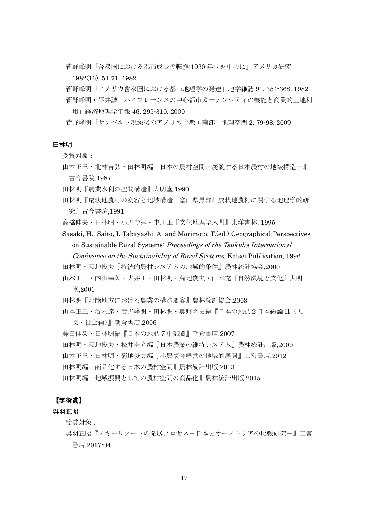菅野峰明「合衆国における都市成長の転換:1930 年代を中心に」アメリカ研究 1982(16), 54-71. 1982

菅野峰明「アメリカ含衆国における都市地理学の発達」地学雑誌 91, 354-368. 1982 菅野峰明・平井誠「ハイプレーンズの中心都市ガーデンシティの機能と商業的土地利 用」経済地理学年報 46, 295-310. 2000

菅野峰明「サンベルト現象後のアメリカ合衆国南部」地理空間 2, 79-98. 2009

#### 田林明

受賞対象:

- 山本正三・北林吉弘・田林明編『日本の農村空間-変貌する日本農村の地域構造-』 古今書院,1987
- 田林明『農業水利の空間構造』大明堂,1990
- 田林明『扇状地農村の変容と地域構造-富山県黒部川扇状地農村に関する地理学的研 究』古今書院,1991
- 高橋伸夫・田林明・小野寺淳・中川正『文化地理学入門』東洋書林, 1995
- Sasaki, H., Saito, I. Tabayashi. A. and Morimoto, T.(ed.) Geographical Perspectives on Sustainable Rural Systems: Proceedings of the Tsukuba International

Conference on the Sustainability of Rural Systems. Kaisei Publication, 1996

- 田林明・菊地俊夫『持続的農村システムの地域的条件』農林統計協会,2000
- 山本正三・内山幸久・犬井正・田林明・菊地俊夫・山本充『自然環境と文化』大明 堂,2001
- 田林明『北陸地方における農業の構造変容』農林統計協会,2003

山本正三・谷内達・菅野峰明・田林明・奥野隆史編『日本の地誌2日本総論 II(人

文・社会編)』朝倉書店,2006

- 藤田佳久・田林明編『日本の地誌7中部圏』朝倉書店,2007
- 田林明・菊地俊夫・松井圭介編『日本農業の維持システム』農林統計出版,2009
- 山本正三・田林明・菊地俊夫編『小農複合経営の地域的展開』二宮書店,2012
- 田林明編『商品化する日本の農村空間』農林統計出版,2013
- 田林明編『地域振興としての農村空間の商品化』農林統計出版,2015

#### 【学術賞】

#### 呉羽正昭

受賞対象:

呉羽正昭『スキーリゾートの発展プロセス-日本とオーストリアの比較研究-』二宮 書店,2017-04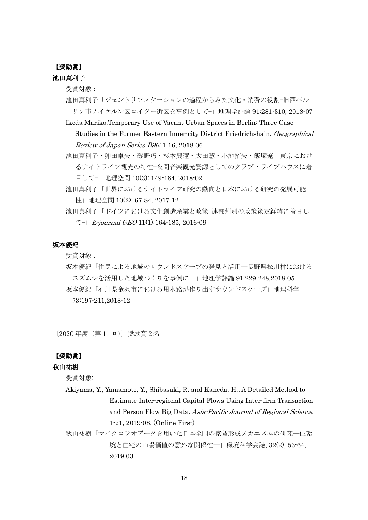# 【奨励賞】

# 池田真利子

受賞対象:

- 池田真利子「ジェントリフィケーションの過程からみた文化・消費の役割−旧西ベル リン市ノイケルン区ロイター街区を事例として−」地理学評論 91:281-310, 2018-07
- Ikeda Mariko.Temporary Use of Vacant Urban Spaces in Berlin: Three Case Studies in the Former Eastern Inner-city District Friedrichshain. Geographical Review of Japan Series B90: 1-16, 2018-06
- 池田真利子・卯田卓矢・磯野巧・杉本興運・太田慧・小池拓矢・飯塚遼「東京におけ るナイトライフ観光の特性−夜間音楽観光資源としてのクラブ・ライブハウスに着 目して−」地理空間 10(3): 149-164, 2018-02
- 池田真利子「世界におけるナイトライフ研究の動向と日本における研究の発展可能 性」地理空間 10(2): 67-84, 2017-12
- 池田真利子「ドイツにおける文化創造産業と政策−連邦州別の政策策定経緯に着目し て−」E-journal GEO 11(1):164-185, 2016-09

## 坂本優紀

受賞対象:

坂本優紀「住⺠による地域のサウンドスケープの発見と活用―⻑野県松川村における スズムシを活用した地域づくりを事例に―」地理学評論 91:229-248,2018-05 坂本優紀「石川県金沢市における用水路が作り出すサウンドスケープ」地理科学 73:197-211,2018-12

〔2020 年度(第 11 回)〕奨励賞2名

# 【奨励賞】

## 秋山祐樹

受賞対象:

- Akiyama, Y., Yamamoto, Y., Shibasaki, R. and Kaneda, H., A Detailed Method to Estimate Inter-regional Capital Flows Using Inter-firm Transaction and Person Flow Big Data. Asia-Pacific Journal of Regional Science, 1-21, 2019-08. (Online First)
- 秋山祐樹「マイクロジオデータを用いた日本全国の家賃形成メカニズムの研究―住環 境と住宅の市場価値の意外な関係性―」環境科学会誌, 32(2), 53-64, 2019-03.